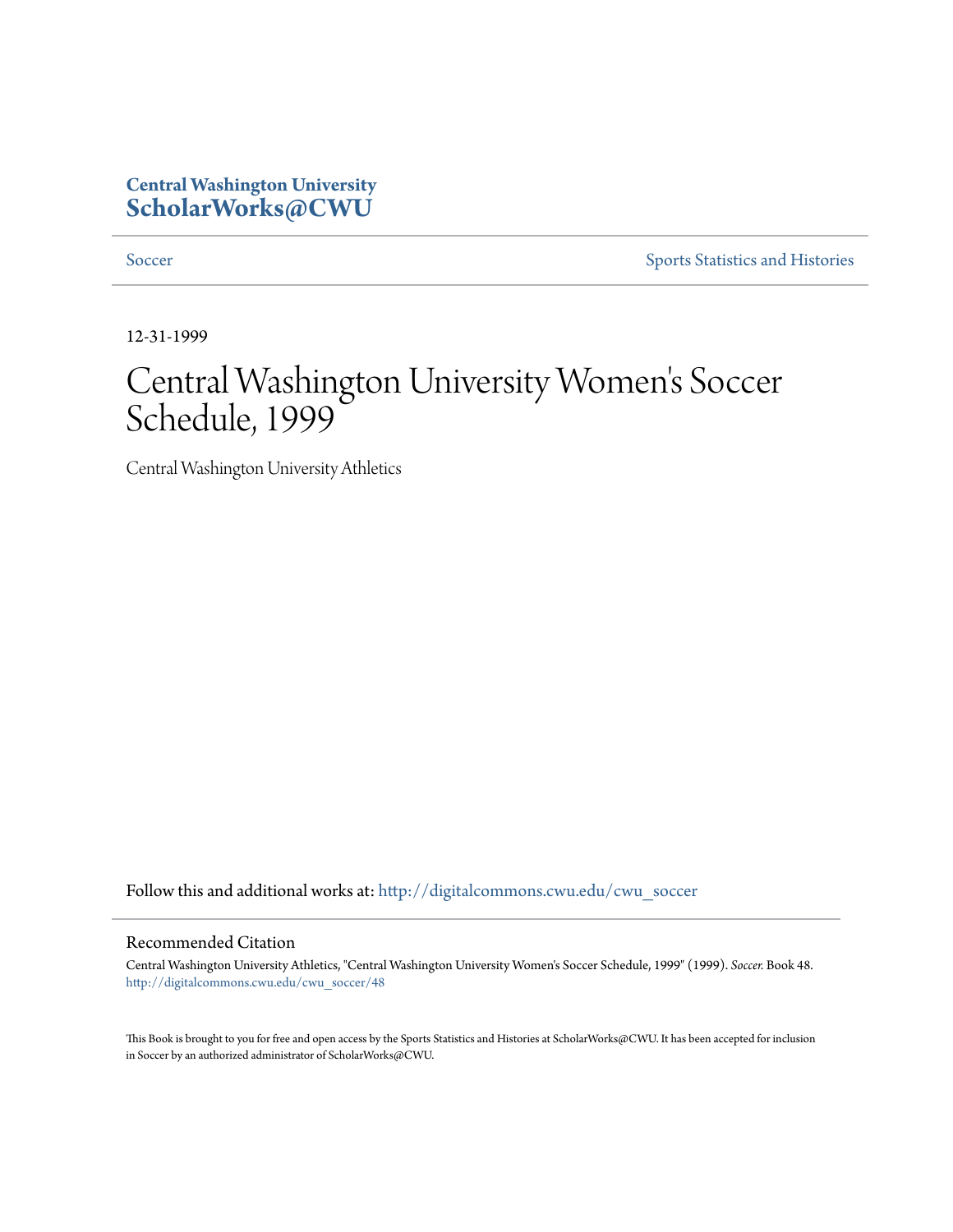## **Central Washington University [ScholarWorks@CWU](http://digitalcommons.cwu.edu?utm_source=digitalcommons.cwu.edu%2Fcwu_soccer%2F48&utm_medium=PDF&utm_campaign=PDFCoverPages)**

[Soccer](http://digitalcommons.cwu.edu/cwu_soccer?utm_source=digitalcommons.cwu.edu%2Fcwu_soccer%2F48&utm_medium=PDF&utm_campaign=PDFCoverPages) [Sports Statistics and Histories](http://digitalcommons.cwu.edu/cwu_sports_statistics?utm_source=digitalcommons.cwu.edu%2Fcwu_soccer%2F48&utm_medium=PDF&utm_campaign=PDFCoverPages)

12-31-1999

## Central Washington University Women 's Soccer Schedule, 1999

Central Washington University Athletics

Follow this and additional works at: [http://digitalcommons.cwu.edu/cwu\\_soccer](http://digitalcommons.cwu.edu/cwu_soccer?utm_source=digitalcommons.cwu.edu%2Fcwu_soccer%2F48&utm_medium=PDF&utm_campaign=PDFCoverPages)

## Recommended Citation

Central Washington University Athletics, "Central Washington University Women's Soccer Schedule, 1999" (1999). *Soccer.* Book 48. [http://digitalcommons.cwu.edu/cwu\\_soccer/48](http://digitalcommons.cwu.edu/cwu_soccer/48?utm_source=digitalcommons.cwu.edu%2Fcwu_soccer%2F48&utm_medium=PDF&utm_campaign=PDFCoverPages)

This Book is brought to you for free and open access by the Sports Statistics and Histories at ScholarWorks@CWU. It has been accepted for inclusion in Soccer by an authorized administrator of ScholarWorks@CWU.